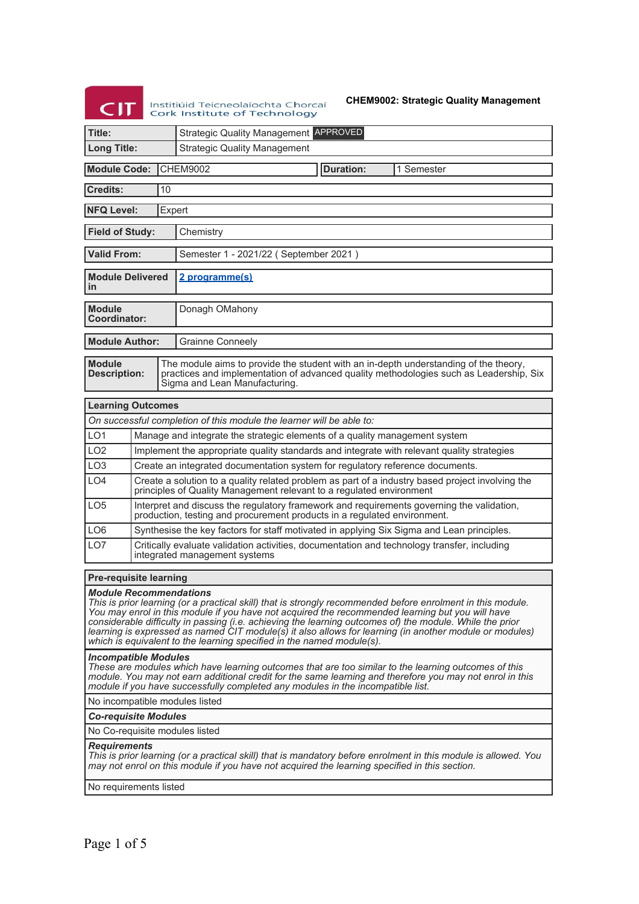# **CIT** Institiúid Teicneolaíochta Chorcaí<br>Cork Institute of Technology

**CHEM9002: Strategic Quality Management**

| Title:                                                                                                                                                                                                                                                                                                                                                                                                                                                                                                                                           |    | <b>Strategic Quality Management APPROVED</b>                                                                                                                                                                    |  |  |  |  |
|--------------------------------------------------------------------------------------------------------------------------------------------------------------------------------------------------------------------------------------------------------------------------------------------------------------------------------------------------------------------------------------------------------------------------------------------------------------------------------------------------------------------------------------------------|----|-----------------------------------------------------------------------------------------------------------------------------------------------------------------------------------------------------------------|--|--|--|--|
| <b>Long Title:</b>                                                                                                                                                                                                                                                                                                                                                                                                                                                                                                                               |    | <b>Strategic Quality Management</b>                                                                                                                                                                             |  |  |  |  |
| <b>Module Code:</b>                                                                                                                                                                                                                                                                                                                                                                                                                                                                                                                              |    | <b>CHEM9002</b><br><b>Duration:</b><br>1 Semester                                                                                                                                                               |  |  |  |  |
| <b>Credits:</b>                                                                                                                                                                                                                                                                                                                                                                                                                                                                                                                                  | 10 |                                                                                                                                                                                                                 |  |  |  |  |
| <b>NFQ Level:</b>                                                                                                                                                                                                                                                                                                                                                                                                                                                                                                                                |    | Expert                                                                                                                                                                                                          |  |  |  |  |
| <b>Field of Study:</b><br>Chemistry                                                                                                                                                                                                                                                                                                                                                                                                                                                                                                              |    |                                                                                                                                                                                                                 |  |  |  |  |
| <b>Valid From:</b>                                                                                                                                                                                                                                                                                                                                                                                                                                                                                                                               |    | Semester 1 - 2021/22 (September 2021)                                                                                                                                                                           |  |  |  |  |
| <b>Module Delivered</b><br>in                                                                                                                                                                                                                                                                                                                                                                                                                                                                                                                    |    | 2 programme(s)                                                                                                                                                                                                  |  |  |  |  |
| <b>Module</b><br><b>Coordinator:</b>                                                                                                                                                                                                                                                                                                                                                                                                                                                                                                             |    | Donagh OMahony                                                                                                                                                                                                  |  |  |  |  |
| <b>Module Author:</b>                                                                                                                                                                                                                                                                                                                                                                                                                                                                                                                            |    | <b>Grainne Conneely</b>                                                                                                                                                                                         |  |  |  |  |
| <b>Module</b><br><b>Description:</b>                                                                                                                                                                                                                                                                                                                                                                                                                                                                                                             |    | The module aims to provide the student with an in-depth understanding of the theory,<br>practices and implementation of advanced quality methodologies such as Leadership, Six<br>Sigma and Lean Manufacturing. |  |  |  |  |
| <b>Learning Outcomes</b>                                                                                                                                                                                                                                                                                                                                                                                                                                                                                                                         |    |                                                                                                                                                                                                                 |  |  |  |  |
|                                                                                                                                                                                                                                                                                                                                                                                                                                                                                                                                                  |    | On successful completion of this module the learner will be able to:                                                                                                                                            |  |  |  |  |
| LO <sub>1</sub>                                                                                                                                                                                                                                                                                                                                                                                                                                                                                                                                  |    | Manage and integrate the strategic elements of a quality management system                                                                                                                                      |  |  |  |  |
| LO <sub>2</sub>                                                                                                                                                                                                                                                                                                                                                                                                                                                                                                                                  |    | Implement the appropriate quality standards and integrate with relevant quality strategies                                                                                                                      |  |  |  |  |
| LO <sub>3</sub>                                                                                                                                                                                                                                                                                                                                                                                                                                                                                                                                  |    | Create an integrated documentation system for regulatory reference documents.                                                                                                                                   |  |  |  |  |
| LO <sub>4</sub>                                                                                                                                                                                                                                                                                                                                                                                                                                                                                                                                  |    | Create a solution to a quality related problem as part of a industry based project involving the principles of Quality Management relevant to a regulated environment                                           |  |  |  |  |
| LO <sub>5</sub>                                                                                                                                                                                                                                                                                                                                                                                                                                                                                                                                  |    | Interpret and discuss the regulatory framework and requirements governing the validation,<br>production, testing and procurement products in a regulated environment.                                           |  |  |  |  |
| LO <sub>6</sub>                                                                                                                                                                                                                                                                                                                                                                                                                                                                                                                                  |    | Synthesise the key factors for staff motivated in applying Six Sigma and Lean principles.                                                                                                                       |  |  |  |  |
| LO <sub>7</sub>                                                                                                                                                                                                                                                                                                                                                                                                                                                                                                                                  |    | Critically evaluate validation activities, documentation and technology transfer, including<br>integrated management systems                                                                                    |  |  |  |  |
| <b>Pre-requisite learning</b>                                                                                                                                                                                                                                                                                                                                                                                                                                                                                                                    |    |                                                                                                                                                                                                                 |  |  |  |  |
| <b>Module Recommendations</b><br>This is prior learning (or a practical skill) that is strongly recommended before enrolment in this module.<br>You may enrol in this module if you have not acquired the recommended learning but you will have<br>considerable difficulty in passing (i.e. achieving the learning outcomes of) the module. While the prior<br>learning is expressed as named CIT module(s) it also allows for learning (in another module or modules)<br>which is equivalent to the learning specified in the named module(s). |    |                                                                                                                                                                                                                 |  |  |  |  |
| <b>Incompatible Modules</b><br>These are modules which have learning outcomes that are too similar to the learning outcomes of this<br>module. You may not earn additional credit for the same learning and therefore you may not enrol in this<br>module if you have successfully completed any modules in the incompatible list.                                                                                                                                                                                                               |    |                                                                                                                                                                                                                 |  |  |  |  |
| No incompatible modules listed                                                                                                                                                                                                                                                                                                                                                                                                                                                                                                                   |    |                                                                                                                                                                                                                 |  |  |  |  |
| <b>Co-requisite Modules</b>                                                                                                                                                                                                                                                                                                                                                                                                                                                                                                                      |    |                                                                                                                                                                                                                 |  |  |  |  |
| No Co-requisite modules listed                                                                                                                                                                                                                                                                                                                                                                                                                                                                                                                   |    |                                                                                                                                                                                                                 |  |  |  |  |
| <b>Requirements</b><br>This is prior learning (or a practical skill) that is mandatory before enrolment in this module is allowed. You<br>may not enrol on this module if you have not acquired the learning specified in this section.                                                                                                                                                                                                                                                                                                          |    |                                                                                                                                                                                                                 |  |  |  |  |

No requirements listed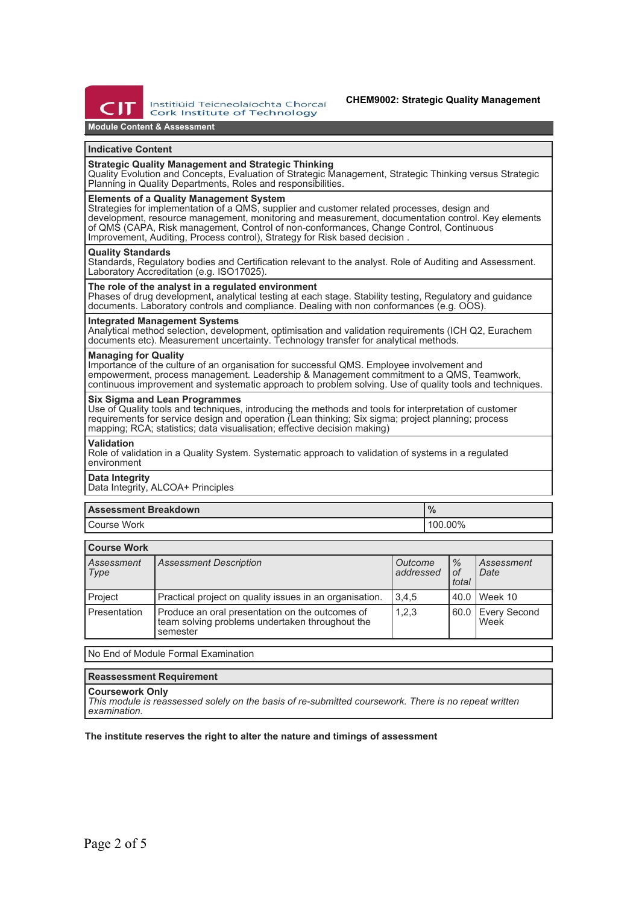

Institiúid Teicneolaíochta Chorcaí Cork Institute of Technology

# **CHEM9002: Strategic Quality Management**

# **Module Content & Assessment**

#### **Indicative Content**

# **Strategic Quality Management and Strategic Thinking**

Quality Evolution and Concepts, Evaluation of Strategic Management, Strategic Thinking versus Strategic Planning in Quality Departments, Roles and responsibilities.

## **Elements of a Quality Management System**

Strategies for implementation of a QMS, supplier and customer related processes, design and development, resource management, monitoring and measurement, documentation control. Key elements of QMS (CAPA, Risk management, Control of non-conformances, Change Control, Continuous Improvement, Auditing, Process control), Strategy for Risk based decision .

#### **Quality Standards**

Standards, Regulatory bodies and Certification relevant to the analyst. Role of Auditing and Assessment. Laboratory Accreditation (e.g. ISO17025).

## **The role of the analyst in a regulated environment**

Phases of drug development, analytical testing at each stage. Stability testing, Regulatory and guidance documents. Laboratory controls and compliance. Dealing with non conformances (e.g. OOS).

## **Integrated Management Systems**

Analytical method selection, development, optimisation and validation requirements (ICH Q2, Eurachem documents etc). Measurement uncertainty. Technology transfer for analytical methods.

#### **Managing for Quality**

Importance of the culture of an organisation for successful QMS. Employee involvement and empowerment, process management. Leadership & Management commitment to a QMS, Teamwork, continuous improvement and systematic approach to problem solving. Use of quality tools and techniques.

#### **Six Sigma and Lean Programmes**

Use of Quality tools and techniques, introducing the methods and tools for interpretation of customer requirements for service design and operation (Lean thinking; Six sigma; project planning; process mapping; RCA; statistics; data visualisation; effective decision making)

#### **Validation**

Role of validation in a Quality System. Systematic approach to validation of systems in a regulated environment

#### **Data Integrity**

Data Integrity, ALCOA+ Principles

| <b>Assessment Breakdown</b> | 70      |  |  |
|-----------------------------|---------|--|--|
| <sup>I</sup> Course Work    | 100.00% |  |  |

| <b>Course Work</b> |                                                                                                                |                      |                     |                             |  |
|--------------------|----------------------------------------------------------------------------------------------------------------|----------------------|---------------------|-----------------------------|--|
| Assessment<br>Type | <b>Assessment Description</b>                                                                                  | Outcome<br>addressed | $\%$<br>0f<br>total | Assessment<br>Date          |  |
| Project            | Practical project on quality issues in an organisation.                                                        | 3,4,5                | 40.0                | Week 10                     |  |
| Presentation       | Produce an oral presentation on the outcomes of<br>team solving problems undertaken throughout the<br>semester | 1,2,3                | 60.0                | <b>Every Second</b><br>Week |  |

No End of Module Formal Examination

# **Reassessment Requirement**

# **Coursework Only**

*This module is reassessed solely on the basis of re-submitted coursework. There is no repeat written examination.*

#### **The institute reserves the right to alter the nature and timings of assessment**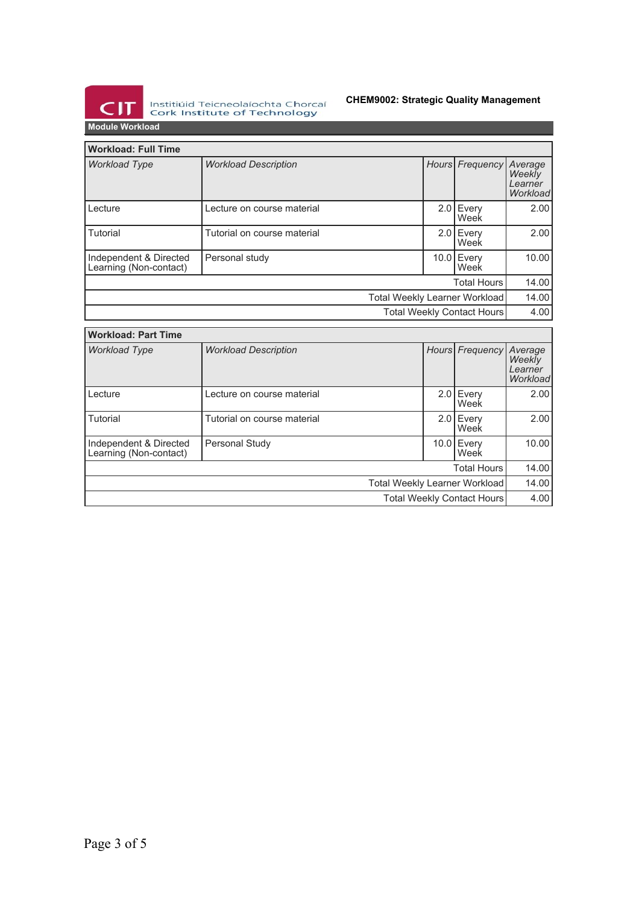

Institiúid Teicneolaíochta Chorcaí<br>Cork Institute of Technology

# **CHEM9002: Strategic Quality Management**

**Module Workload**

| <b>Workload: Full Time</b>                       |                                                |  |  |                                          |       |
|--------------------------------------------------|------------------------------------------------|--|--|------------------------------------------|-------|
| <b>Workload Type</b>                             | Hours Frequency<br><b>Workload Description</b> |  |  | Average<br>Weekly<br>Learner<br>Workload |       |
| Lecture                                          | Lecture on course material                     |  |  | 2.0 Every<br>Week                        | 2.00  |
| Tutorial                                         | Tutorial on course material                    |  |  | 2.0 Every<br>Week                        | 2.001 |
| Independent & Directed<br>Learning (Non-contact) | Personal study                                 |  |  | 10.0 Every<br>Week                       | 10.00 |
| <b>Total Hours</b>                               |                                                |  |  |                                          | 14.00 |
| Total Weekly Learner Workload                    |                                                |  |  | 14.00                                    |       |
| Total Weekly Contact Hours                       |                                                |  |  | 4.00                                     |       |

| <b>Workload: Part Time</b>                       |                             |                 |                     |                                          |  |
|--------------------------------------------------|-----------------------------|-----------------|---------------------|------------------------------------------|--|
| <b>Workload Type</b>                             | <b>Workload Description</b> | Hours Frequency |                     | Average<br>Weekly<br>Learner<br>Workload |  |
| Lecture                                          | Lecture on course material  |                 | $2.0$ Every<br>Week | 2.00                                     |  |
| Tutorial                                         | Tutorial on course material |                 | 2.0 Every<br>Week   | 2.00                                     |  |
| Independent & Directed<br>Learning (Non-contact) | Personal Study              |                 | 10.0 Every<br>Week  | 10.00                                    |  |
| <b>Total Hours</b>                               |                             |                 |                     |                                          |  |
| Total Weekly Learner Workload                    |                             |                 |                     | 14.00                                    |  |
| <b>Total Weekly Contact Hours</b>                |                             |                 |                     | 4.00                                     |  |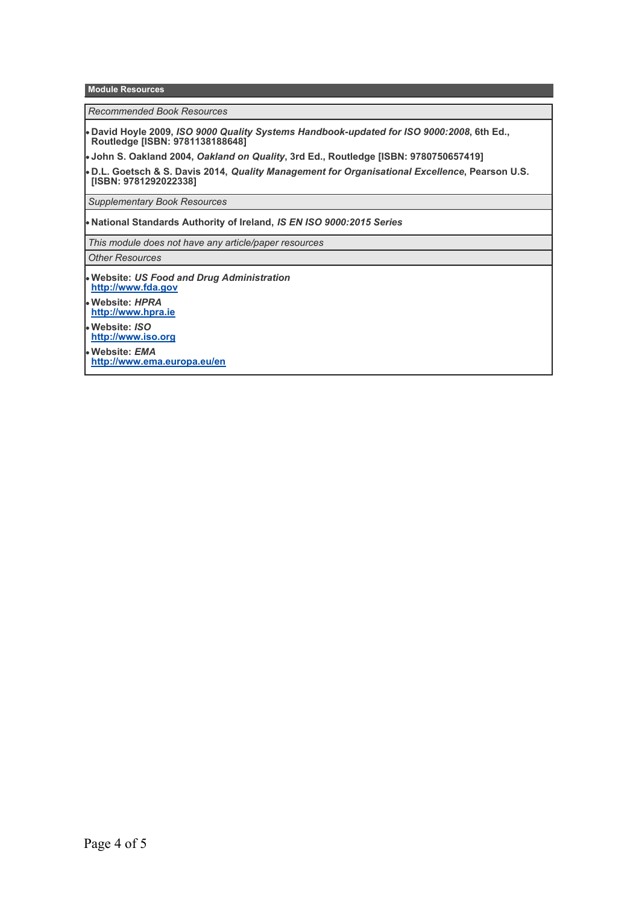**Module Resources**

*Recommended Book Resources*

**David Hoyle 2009,** *ISO 9000 Quality Systems Handbook-updated for ISO 9000:2008***, 6th Ed., Routledge [ISBN: 9781138188648]**

**John S. Oakland 2004,** *Oakland on Quality***, 3rd Ed., Routledge [ISBN: 9780750657419]**

**D.L. Goetsch & S. Davis 2014,** *Quality Management for Organisational Excellence***, Pearson U.S. [ISBN: 9781292022338]**

*Supplementary Book Resources*

**National Standards Authority of Ireland,** *IS EN ISO 9000:2015 Series*

*This module does not have any article/paper resources*

*Other Resources*

- **Website:** *US Food and Drug Administration* **<http://www.fda.gov>**
- **Website:** *HPRA* **<http://www.hpra.ie>**
- **Website:** *ISO*
- **<http://www.iso.org> Website:** *EMA* **<http://www.ema.europa.eu/en>**